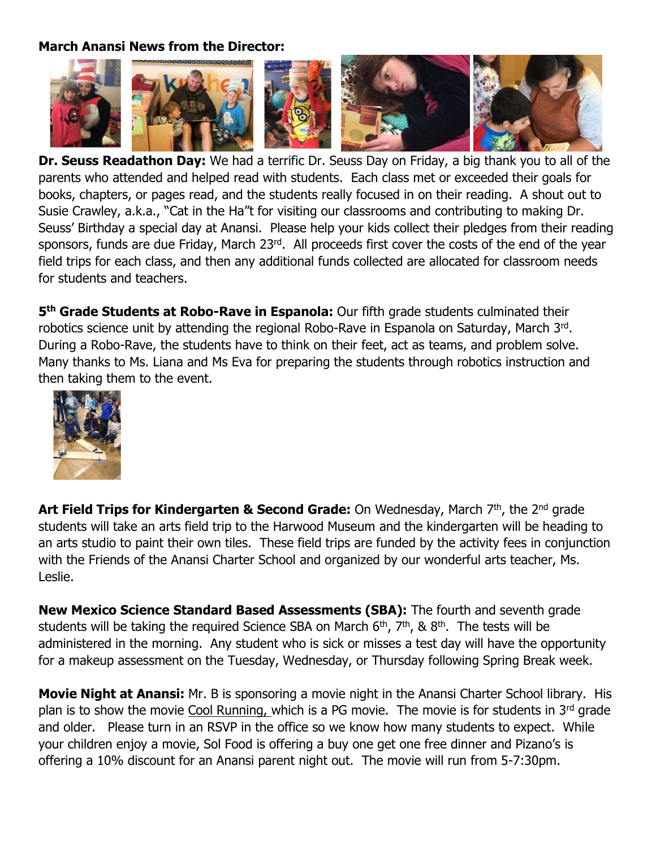## **March Anansi News from the Director:**



**Dr. Seuss Readathon Day:** We had a terrific Dr. Seuss Day on Friday, a big thank you to all of the parents who attended and helped read with students. Each class met or exceeded their goals for books, chapters, or pages read, and the students really focused in on their reading. A shout out to Susie Crawley, a.k.a., "Cat in the Ha"t for visiting our classrooms and contributing to making Dr. Seuss' Birthday a special day at Anansi. Please help your kids collect their pledges from their reading sponsors, funds are due Friday, March 23rd. All proceeds first cover the costs of the end of the year field trips for each class, and then any additional funds collected are allocated for classroom needs for students and teachers.

5<sup>th</sup> Grade Students at Robo-Rave in Espanola: Our fifth grade students culminated their robotics science unit by attending the regional Robo-Rave in Espanola on Saturday, March 3rd. During a Robo-Rave, the students have to think on their feet, act as teams, and problem solve. Many thanks to Ms. Liana and Ms Eva for preparing the students through robotics instruction and then taking them to the event.



**Art Field Trips for Kindergarten & Second Grade:** On Wednesday, March 7<sup>th</sup>, the 2<sup>nd</sup> grade students will take an arts field trip to the Harwood Museum and the kindergarten will be heading to an arts studio to paint their own tiles. These field trips are funded by the activity fees in conjunction with the Friends of the Anansi Charter School and organized by our wonderful arts teacher, Ms. Leslie.

**New Mexico Science Standard Based Assessments (SBA):** The fourth and seventh grade students will be taking the required Science SBA on March  $6<sup>th</sup>$ ,  $7<sup>th</sup>$ , &  $8<sup>th</sup>$ . The tests will be administered in the morning. Any student who is sick or misses a test day will have the opportunity for a makeup assessment on the Tuesday, Wednesday, or Thursday following Spring Break week.

**Movie Night at Anansi:** Mr. B is sponsoring a movie night in the Anansi Charter School library. His plan is to show the movie Cool Running, which is a PG movie. The movie is for students in 3rd grade and older. Please turn in an RSVP in the office so we know how many students to expect. While your children enjoy a movie, Sol Food is offering a buy one get one free dinner and Pizano's is offering a 10% discount for an Anansi parent night out. The movie will run from 5-7:30pm.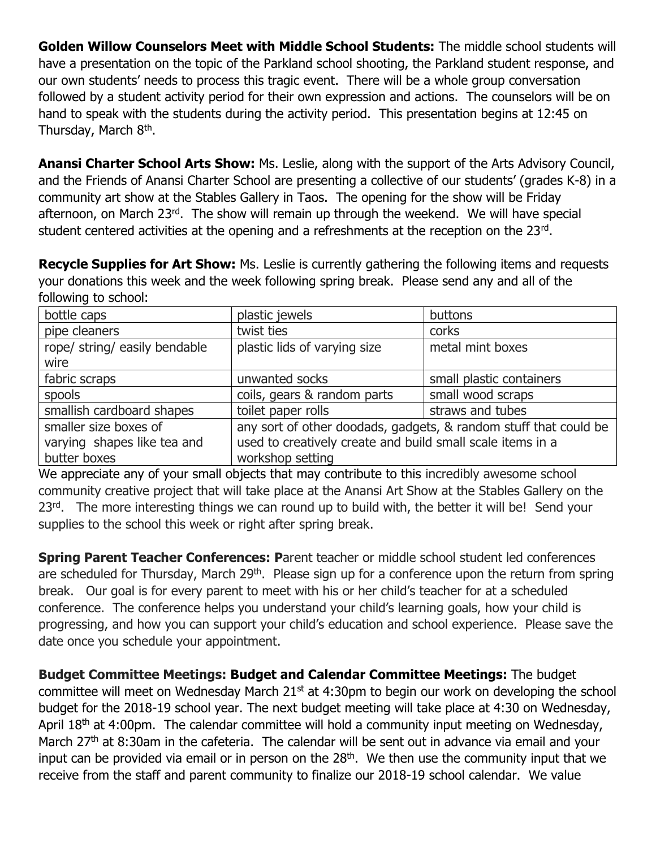**Golden Willow Counselors Meet with Middle School Students:** The middle school students will have a presentation on the topic of the Parkland school shooting, the Parkland student response, and our own students' needs to process this tragic event. There will be a whole group conversation followed by a student activity period for their own expression and actions. The counselors will be on hand to speak with the students during the activity period. This presentation begins at 12:45 on Thursday, March 8<sup>th</sup>.

**Anansi Charter School Arts Show:** Ms. Leslie, along with the support of the Arts Advisory Council, and the Friends of Anansi Charter School are presenting a collective of our students' (grades K-8) in a community art show at the Stables Gallery in Taos. The opening for the show will be Friday afternoon, on March 23rd. The show will remain up through the weekend. We will have special student centered activities at the opening and a refreshments at the reception on the 23rd.

**Recycle Supplies for Art Show:** Ms. Leslie is currently gathering the following items and requests your donations this week and the week following spring break. Please send any and all of the following to school:

| bottle caps                   | plastic jewels                                                   | buttons                  |
|-------------------------------|------------------------------------------------------------------|--------------------------|
| pipe cleaners                 | twist ties                                                       | corks                    |
| rope/ string/ easily bendable | plastic lids of varying size                                     | metal mint boxes         |
| wire                          |                                                                  |                          |
| fabric scraps                 | unwanted socks                                                   | small plastic containers |
| spools                        | coils, gears & random parts                                      | small wood scraps        |
| smallish cardboard shapes     | toilet paper rolls                                               | straws and tubes         |
| smaller size boxes of         | any sort of other doodads, gadgets, & random stuff that could be |                          |
| varying shapes like tea and   | used to creatively create and build small scale items in a       |                          |
| butter boxes                  | workshop setting                                                 |                          |

We appreciate any of your small objects that may contribute to this incredibly awesome school community creative project that will take place at the Anansi Art Show at the Stables Gallery on the 23<sup>rd</sup>. The more interesting things we can round up to build with, the better it will be! Send your supplies to the school this week or right after spring break.

**Spring Parent Teacher Conferences: P**arent teacher or middle school student led conferences are scheduled for Thursday, March 29<sup>th</sup>. Please sign up for a conference upon the return from spring break. Our goal is for every parent to meet with his or her child's teacher for at a scheduled conference. The conference helps you understand your child's learning goals, how your child is progressing, and how you can support your child's education and school experience. Please save the date once you schedule your appointment.

**Budget Committee Meetings: Budget and Calendar Committee Meetings:** The budget committee will meet on Wednesday March 21<sup>st</sup> at 4:30pm to begin our work on developing the school budget for the 2018-19 school year. The next budget meeting will take place at 4:30 on Wednesday, April  $18<sup>th</sup>$  at 4:00pm. The calendar committee will hold a community input meeting on Wednesday, March 27<sup>th</sup> at 8:30am in the cafeteria. The calendar will be sent out in advance via email and your input can be provided via email or in person on the  $28<sup>th</sup>$ . We then use the community input that we receive from the staff and parent community to finalize our 2018-19 school calendar. We value